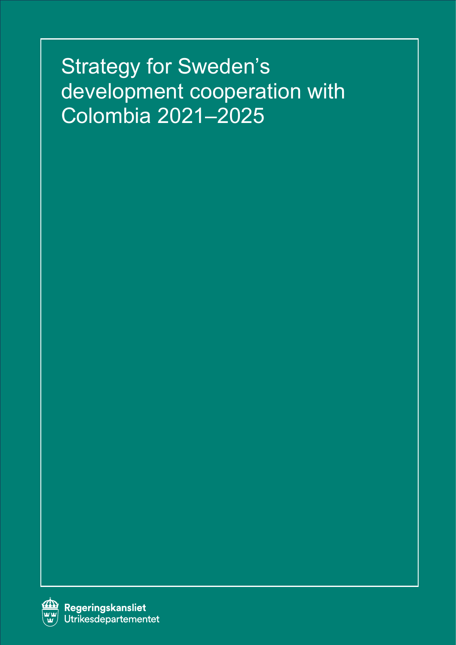# Strategy for Sweden's development cooperation with Colombia 2021–2025

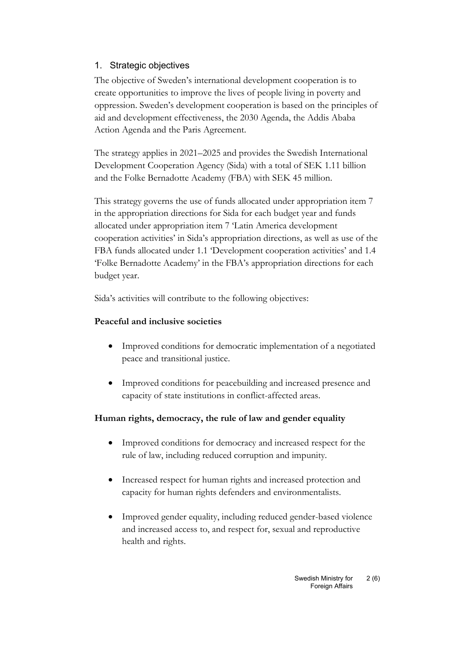# 1. Strategic objectives

The objective of Sweden's international development cooperation is to create opportunities to improve the lives of people living in poverty and oppression. Sweden's development cooperation is based on the principles of aid and development effectiveness, the 2030 Agenda, the Addis Ababa Action Agenda and the Paris Agreement.

The strategy applies in 2021–2025 and provides the Swedish International Development Cooperation Agency (Sida) with a total of SEK 1.11 billion and the Folke Bernadotte Academy (FBA) with SEK 45 million.

This strategy governs the use of funds allocated under appropriation item 7 in the appropriation directions for Sida for each budget year and funds allocated under appropriation item 7 'Latin America development cooperation activities' in Sida's appropriation directions, as well as use of the FBA funds allocated under 1.1 'Development cooperation activities' and 1.4 'Folke Bernadotte Academy' in the FBA's appropriation directions for each budget year.

Sida's activities will contribute to the following objectives:

### **Peaceful and inclusive societies**

- Improved conditions for democratic implementation of a negotiated peace and transitional justice.
- Improved conditions for peacebuilding and increased presence and capacity of state institutions in conflict-affected areas.

### **Human rights, democracy, the rule of law and gender equality**

- Improved conditions for democracy and increased respect for the rule of law, including reduced corruption and impunity.
- Increased respect for human rights and increased protection and capacity for human rights defenders and environmentalists.
- Improved gender equality, including reduced gender-based violence and increased access to, and respect for, sexual and reproductive health and rights.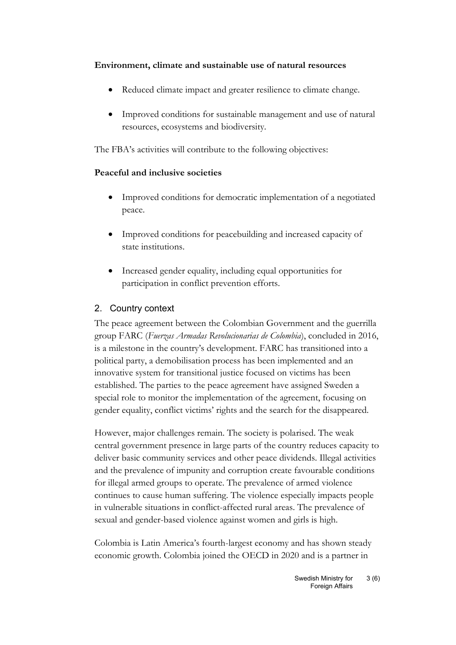#### **Environment, climate and sustainable use of natural resources**

- Reduced climate impact and greater resilience to climate change.
- Improved conditions for sustainable management and use of natural resources, ecosystems and biodiversity.

The FBA's activities will contribute to the following objectives:

# **Peaceful and inclusive societies**

- Improved conditions for democratic implementation of a negotiated peace.
- Improved conditions for peacebuilding and increased capacity of state institutions.
- Increased gender equality, including equal opportunities for participation in conflict prevention efforts.

# 2. Country context

The peace agreement between the Colombian Government and the guerrilla group FARC (*Fuerzas Armadas Revolucionarias de Colombia*), concluded in 2016, is a milestone in the country's development. FARC has transitioned into a political party, a demobilisation process has been implemented and an innovative system for transitional justice focused on victims has been established. The parties to the peace agreement have assigned Sweden a special role to monitor the implementation of the agreement, focusing on gender equality, conflict victims' rights and the search for the disappeared.

However, major challenges remain. The society is polarised. The weak central government presence in large parts of the country reduces capacity to deliver basic community services and other peace dividends. Illegal activities and the prevalence of impunity and corruption create favourable conditions for illegal armed groups to operate. The prevalence of armed violence continues to cause human suffering. The violence especially impacts people in vulnerable situations in conflict-affected rural areas. The prevalence of sexual and gender-based violence against women and girls is high.

Colombia is Latin America's fourth-largest economy and has shown steady economic growth. Colombia joined the OECD in 2020 and is a partner in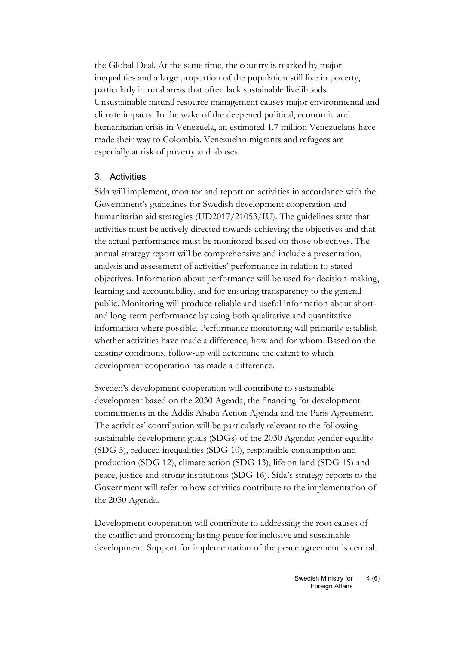the Global Deal. At the same time, the country is marked by major inequalities and a large proportion of the population still live in poverty, particularly in rural areas that often lack sustainable livelihoods. Unsustainable natural resource management causes major environmental and climate impacts. In the wake of the deepened political, economic and humanitarian crisis in Venezuela, an estimated 1.7 million Venezuelans have made their way to Colombia. Venezuelan migrants and refugees are especially at risk of poverty and abuses.

#### 3. Activities

Sida will implement, monitor and report on activities in accordance with the Government's guidelines for Swedish development cooperation and humanitarian aid strategies (UD2017/21053/IU). The guidelines state that activities must be actively directed towards achieving the objectives and that the actual performance must be monitored based on those objectives. The annual strategy report will be comprehensive and include a presentation, analysis and assessment of activities' performance in relation to stated objectives. Information about performance will be used for decision-making, learning and accountability, and for ensuring transparency to the general public. Monitoring will produce reliable and useful information about shortand long-term performance by using both qualitative and quantitative information where possible. Performance monitoring will primarily establish whether activities have made a difference, how and for whom. Based on the existing conditions, follow-up will determine the extent to which development cooperation has made a difference.

Sweden's development cooperation will contribute to sustainable development based on the 2030 Agenda, the financing for development commitments in the Addis Ababa Action Agenda and the Paris Agreement. The activities' contribution will be particularly relevant to the following sustainable development goals (SDGs) of the 2030 Agenda: gender equality (SDG 5), reduced inequalities (SDG 10), responsible consumption and production (SDG 12), climate action (SDG 13), life on land (SDG 15) and peace, justice and strong institutions (SDG 16). Sida's strategy reports to the Government will refer to how activities contribute to the implementation of the 2030 Agenda.

Development cooperation will contribute to addressing the root causes of the conflict and promoting lasting peace for inclusive and sustainable development. Support for implementation of the peace agreement is central,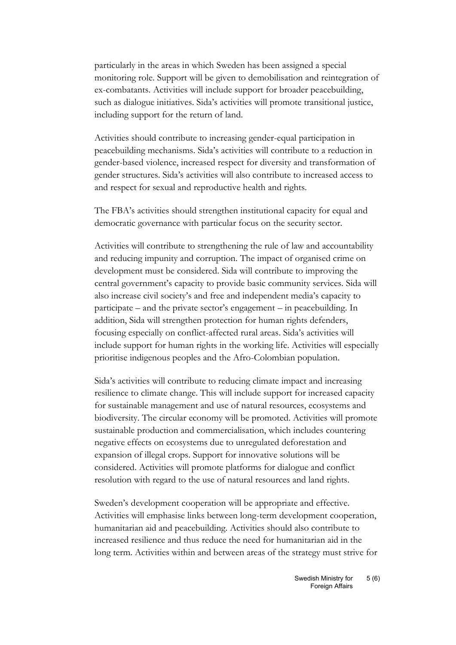particularly in the areas in which Sweden has been assigned a special monitoring role. Support will be given to demobilisation and reintegration of ex-combatants. Activities will include support for broader peacebuilding, such as dialogue initiatives. Sida's activities will promote transitional justice, including support for the return of land.

Activities should contribute to increasing gender-equal participation in peacebuilding mechanisms. Sida's activities will contribute to a reduction in gender-based violence, increased respect for diversity and transformation of gender structures. Sida's activities will also contribute to increased access to and respect for sexual and reproductive health and rights.

The FBA's activities should strengthen institutional capacity for equal and democratic governance with particular focus on the security sector.

Activities will contribute to strengthening the rule of law and accountability and reducing impunity and corruption. The impact of organised crime on development must be considered. Sida will contribute to improving the central government's capacity to provide basic community services. Sida will also increase civil society's and free and independent media's capacity to participate – and the private sector's engagement – in peacebuilding. In addition, Sida will strengthen protection for human rights defenders, focusing especially on conflict-affected rural areas. Sida's activities will include support for human rights in the working life. Activities will especially prioritise indigenous peoples and the Afro-Colombian population.

Sida's activities will contribute to reducing climate impact and increasing resilience to climate change. This will include support for increased capacity for sustainable management and use of natural resources, ecosystems and biodiversity. The circular economy will be promoted. Activities will promote sustainable production and commercialisation, which includes countering negative effects on ecosystems due to unregulated deforestation and expansion of illegal crops. Support for innovative solutions will be considered. Activities will promote platforms for dialogue and conflict resolution with regard to the use of natural resources and land rights.

Sweden's development cooperation will be appropriate and effective. Activities will emphasise links between long-term development cooperation, humanitarian aid and peacebuilding. Activities should also contribute to increased resilience and thus reduce the need for humanitarian aid in the long term. Activities within and between areas of the strategy must strive for